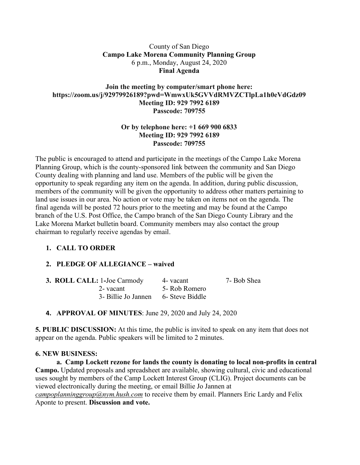#### County of San Diego **Campo Lake Morena Community Planning Group** 6 p.m., Monday, August 24, 2020 **Final Agenda**

#### **Join the meeting by computer/smart phone here: https://zoom.us/j/92979926189?pwd=WmwxUk5GVVdRMVZCTlpLa1h0eVdGdz09 Meeting ID: 929 7992 6189 Passcode: 709755**

#### **Or by telephone here: +1 669 900 6833 Meeting ID: 929 7992 6189 Passcode: 709755**

The public is encouraged to attend and participate in the meetings of the Campo Lake Morena Planning Group, which is the county-sponsored link between the community and San Diego County dealing with planning and land use. Members of the public will be given the opportunity to speak regarding any item on the agenda. In addition, during public discussion, members of the community will be given the opportunity to address other matters pertaining to land use issues in our area. No action or vote may be taken on items not on the agenda. The final agenda will be posted 72 hours prior to the meeting and may be found at the Campo branch of the U.S. Post Office, the Campo branch of the San Diego County Library and the Lake Morena Market bulletin board. Community members may also contact the group chairman to regularly receive agendas by email.

## **1. CALL TO ORDER**

## **2. PLEDGE OF ALLEGIANCE – waived**

| <b>3. ROLL CALL: 1-Joe Carmody</b>  | 4 - vacant    | 7- Bob Shea |
|-------------------------------------|---------------|-------------|
| 2- vacant                           | 5- Rob Romero |             |
| 3- Billie Jo Jannen 6- Steve Biddle |               |             |

**4. APPROVAL OF MINUTES**: June 29, 2020 and July 24, 2020

**5. PUBLIC DISCUSSION:** At this time, the public is invited to speak on any item that does not appear on the agenda. Public speakers will be limited to 2 minutes.

## **6. NEW BUSINESS:**

**a. Camp Lockett rezone for lands the county is donating to local non-profits in central Campo.** Updated proposals and spreadsheet are available, showing cultural, civic and educational uses sought by members of the Camp Lockett Interest Group (CLIG). Project documents can be viewed electronically during the meeting, or email Billie Jo Jannen at *campoplanninggroup@nym.hush.com* to receive them by email. Planners Eric Lardy and Felix Aponte to present. **Discussion and vote.**